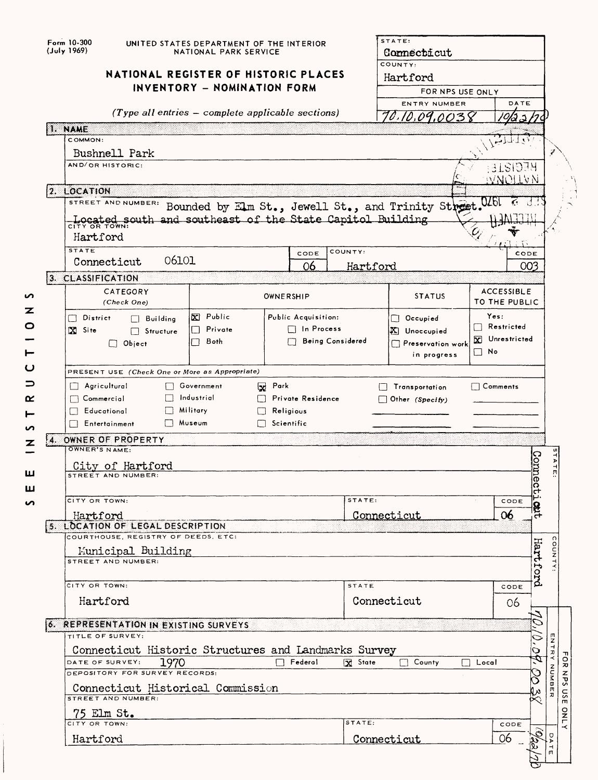| Form 10-300<br>(July 1969) | UNITED STATES DEPARTMENT OF THE INTERIOR<br>NATIONAL PARK SERVICE   |       |                                                     |                |                     |                  | STATE:<br>Connecticut<br>COUNTY:<br>Hartford            |              |                                    |                  |
|----------------------------|---------------------------------------------------------------------|-------|-----------------------------------------------------|----------------|---------------------|------------------|---------------------------------------------------------|--------------|------------------------------------|------------------|
|                            | NATIONAL REGISTER OF HISTORIC PLACES<br>INVENTORY - NOMINATION FORM |       |                                                     |                |                     |                  |                                                         |              |                                    |                  |
|                            |                                                                     |       |                                                     |                |                     |                  | FOR NPS USE ONLY                                        |              |                                    |                  |
|                            |                                                                     |       | $(Type all entries - complete applicable sections)$ |                |                     |                  | ENTRY NUMBER                                            |              | DATE                               |                  |
|                            |                                                                     |       |                                                     |                |                     |                  | 70.10.09.003                                            |              |                                    |                  |
| 1. NAME<br>COMMON:         |                                                                     |       |                                                     |                |                     |                  |                                                         |              |                                    |                  |
|                            | Bushnell Park                                                       |       |                                                     |                |                     |                  |                                                         |              |                                    |                  |
|                            | AND/OR HISTORIC:                                                    |       |                                                     |                |                     |                  |                                                         |              | HECISTE:                           |                  |
|                            |                                                                     |       |                                                     |                |                     |                  |                                                         |              | MAOITAN                            |                  |
| 2. LOCATION                |                                                                     |       |                                                     |                |                     |                  |                                                         |              |                                    |                  |
|                            | STREET AND NUMBER:                                                  |       |                                                     |                |                     |                  | Bounded by Elm St., Jewell St., and Trinity Street. 026 |              |                                    |                  |
|                            | Located south and southeast of the State Capitol Building           |       |                                                     |                |                     |                  |                                                         |              |                                    |                  |
|                            | CITY OR TOWN                                                        |       |                                                     |                |                     |                  |                                                         |              |                                    |                  |
|                            | Hartford                                                            |       |                                                     |                |                     |                  |                                                         |              |                                    |                  |
| <b>STATE</b>               | Connecticut                                                         | 06101 |                                                     |                | CODE                | COUNTY:          |                                                         |              | CODE                               |                  |
|                            |                                                                     |       |                                                     |                | 06                  | Hartford         |                                                         |              |                                    | 003              |
| 3. CLASSIFICATION          |                                                                     |       |                                                     |                |                     |                  |                                                         |              |                                    |                  |
|                            | CATEGORY<br>(Check One)                                             |       |                                                     |                | OWNERSHIP           |                  | <b>STATUS</b>                                           |              | <b>ACCESSIBLE</b><br>TO THE PUBLIC |                  |
| l 1                        | District<br>$\Box$ Building                                         |       | X Public                                            |                | Public Acquisition: |                  | Occupied                                                |              | Yes:                               |                  |
| X Site                     | Structure                                                           |       | Private                                             |                | ∃ In Process        |                  | X Unoccupied                                            |              | $\Box$ Restricted                  |                  |
|                            | $\Box$ Object                                                       |       | <b>Both</b><br>' {                                  |                |                     | Being Considered | Preservation work                                       |              | Vnrestricted                       |                  |
|                            |                                                                     |       |                                                     |                |                     |                  | in progress                                             | $\square$ No |                                    |                  |
|                            |                                                                     |       |                                                     |                |                     |                  |                                                         |              |                                    |                  |
|                            | PRESENT USE (Check One or More as Appropriate)                      |       |                                                     |                |                     |                  |                                                         |              |                                    |                  |
|                            | $\Box$ Agricultural                                                 |       | Government                                          | <b>By</b> Park |                     |                  | Transportation                                          |              | $\Box$ Comments                    |                  |
|                            | Commercial                                                          |       | Industrial                                          |                | Private Residence   |                  | $\Box$ Other (Specify)                                  |              |                                    |                  |
|                            | Educational                                                         |       | Military                                            |                | Religious           |                  |                                                         |              |                                    |                  |
|                            | Entertainment                                                       |       | Museum                                              |                | Scientific          |                  |                                                         |              |                                    |                  |
|                            | 4. OWNER OF PROPERTY                                                |       |                                                     |                |                     |                  |                                                         |              |                                    |                  |
|                            | OWNER'S NAME:                                                       |       |                                                     |                |                     |                  |                                                         |              |                                    |                  |
|                            | City of Hartford                                                    |       |                                                     |                |                     |                  |                                                         |              |                                    |                  |
|                            | STREET AND NUMBER:                                                  |       |                                                     |                |                     |                  |                                                         |              |                                    |                  |
|                            |                                                                     |       |                                                     |                |                     |                  |                                                         |              |                                    | Connect          |
|                            | CITY OR TOWN:                                                       |       |                                                     |                |                     | STATE:           |                                                         |              | CODE                               |                  |
|                            | Hartford                                                            |       |                                                     |                |                     |                  | Connecticut                                             |              | 06                                 |                  |
|                            | 5. LOCATION OF LEGAL DESCRIPTION                                    |       |                                                     |                |                     |                  |                                                         |              |                                    |                  |
|                            | COURTHOUSE, REGISTRY OF DEEDS, ETC:                                 |       |                                                     |                |                     |                  |                                                         |              |                                    |                  |
|                            | Municipal Building<br>STREET AND NUMBER:                            |       |                                                     |                |                     |                  |                                                         |              |                                    |                  |
|                            |                                                                     |       |                                                     |                |                     |                  |                                                         |              |                                    |                  |
|                            | CITY OR TOWN:                                                       |       |                                                     |                |                     | STATE            |                                                         |              | CODE                               | Hartford         |
|                            | Hartford                                                            |       |                                                     |                |                     |                  | Connecticut                                             |              |                                    |                  |
|                            |                                                                     |       |                                                     |                |                     |                  |                                                         |              | 06                                 |                  |
|                            | 6. REPRESENTATION IN EXISTING SURVEYS                               |       |                                                     |                |                     |                  |                                                         |              |                                    |                  |
|                            | TITLE OF SURVEY:                                                    |       |                                                     |                |                     |                  |                                                         |              |                                    | n<br>Z           |
|                            | Connecticut Historic Structures and Landmarks Survey                |       |                                                     |                |                     |                  |                                                         |              |                                    | $\vec{x}$<br>О   |
|                            | DATE OF SURVEY:                                                     | 1970  |                                                     |                | Federal             | X State          | $\Box$ County                                           | Local        |                                    |                  |
|                            | DEPOSITORY FOR SURVEY RECORDS:                                      |       |                                                     |                |                     |                  |                                                         |              |                                    |                  |
|                            | Connecticut Historical Commission                                   |       |                                                     |                |                     |                  |                                                         |              |                                    | <b>BNUB</b><br>m |
|                            | STREET AND NUMBER:                                                  |       |                                                     |                |                     |                  |                                                         |              |                                    |                  |
|                            | 75 Elm St.                                                          |       |                                                     |                |                     |                  |                                                         |              |                                    |                  |
|                            | CITY OR TOWN<br>Hartford                                            |       |                                                     |                |                     | STATE:           | Connecticut                                             |              | CODE<br>06                         | U                |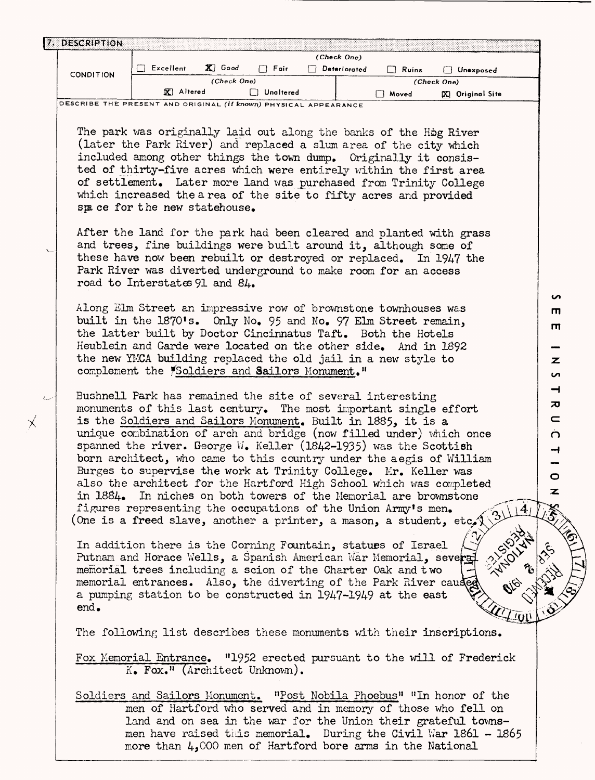| 7. DESCRIPTION   |                                                                                                                                        |                   |                  | (Check One)         |              |                        |           |
|------------------|----------------------------------------------------------------------------------------------------------------------------------------|-------------------|------------------|---------------------|--------------|------------------------|-----------|
| <b>CONDITION</b> | Excellent                                                                                                                              | $\mathbf{X}$ Good | $\Box$ Fair      | $\Box$ Deteriorated | $\Box$ Ruins | □ Unexposed            |           |
|                  |                                                                                                                                        | (Check One)       |                  |                     |              | (Check One)            |           |
|                  | <b>又</b> Altered<br>DESCRIBE THE PRESENT AND ORIGINAL <i>(if known)</i> PHYSICAL APPEARANCE                                            |                   | $\Box$ Unaltered |                     | □ Moved      | <b>X</b> Original Site |           |
|                  |                                                                                                                                        |                   |                  |                     |              |                        |           |
|                  | The park was originally laid out along the banks of the Hog River                                                                      |                   |                  |                     |              |                        |           |
|                  | (later the Park River) and replaced a slum area of the city which                                                                      |                   |                  |                     |              |                        |           |
|                  | included among other things the town dump. Criginally it consis-                                                                       |                   |                  |                     |              |                        |           |
|                  | ted of thirty-five acres which were entirely within the first area                                                                     |                   |                  |                     |              |                        |           |
|                  | of settlement. Later more land was purchased from Trinity College<br>which increased the a rea of the site to fifty acres and provided |                   |                  |                     |              |                        |           |
|                  | space for the new statehouse.                                                                                                          |                   |                  |                     |              |                        |           |
|                  | After the land for the park had been cleared and planted with grass                                                                    |                   |                  |                     |              |                        |           |
|                  | and trees, fine buildings were built around it, although some of                                                                       |                   |                  |                     |              |                        |           |
|                  | these have now been rebuilt or destroyed or replaced. In 1947 the                                                                      |                   |                  |                     |              |                        |           |
|                  | Park River was diverted underground to make room for an access                                                                         |                   |                  |                     |              |                        |           |
|                  | road to Interstates 91 and 84.                                                                                                         |                   |                  |                     |              |                        |           |
|                  |                                                                                                                                        |                   |                  |                     |              |                        | S         |
|                  | Along Elm Street an impressive row of brownstone townhouses was                                                                        |                   |                  |                     |              |                        | m         |
|                  | built in the 1870's. Only No. 95 and No. 97 Elm Street remain,<br>the latter built by Doctor Cincinnatus Taft. Both the Hotels         |                   |                  |                     |              |                        | ш         |
|                  | Heublein and Garde were located on the other side. And in 1892                                                                         |                   |                  |                     |              |                        |           |
|                  | the new YMCA building replaced the old jail in a new style to                                                                          |                   |                  |                     |              |                        | z         |
|                  | complement the <i>Soldiers</i> and Sailors Monument."                                                                                  |                   |                  |                     |              |                        | S         |
|                  |                                                                                                                                        |                   |                  |                     |              |                        | ᅴ         |
|                  | Bushnell Park has remained the site of several interesting                                                                             |                   |                  |                     |              |                        | ᅍ         |
|                  | monuments of this last century. The most important single effort                                                                       |                   |                  |                     |              |                        | $\subset$ |
|                  | is the Soldiers and Sailors Monument. Built in 1885, it is a<br>unique combination of arch and bridge (now filled under) which once    |                   |                  |                     |              |                        |           |
|                  | spanned the river. George W. Keller (1842-1935) was the Scottish                                                                       |                   |                  |                     |              |                        | $\Omega$  |
|                  | born architect, who came to this country under the aegis of William                                                                    |                   |                  |                     |              |                        | ᅱ         |
|                  | Burges to supervise the work at Trinity College. Mr. Keller was                                                                        |                   |                  |                     |              |                        | $\circ$   |
|                  | also the architect for the Hartford High School which was completed                                                                    |                   |                  |                     |              |                        | ァ         |
|                  | in 1884. In niches on both towers of the Nemorial are brownstone                                                                       |                   |                  |                     |              |                        |           |
|                  | figures representing the occupations of the Union Army's men.                                                                          |                   |                  |                     |              |                        |           |
|                  | (One is a freed slave, another a printer, a mason, a student, etc.)                                                                    |                   |                  |                     |              |                        |           |
|                  | In addition there is the Corning Fountain, statues of Israel                                                                           |                   |                  |                     |              |                        |           |
|                  | Putnam and Horace Wells, a Spanish American War Memorial, severa                                                                       |                   |                  |                     |              |                        | 1201      |
|                  | memorial trees including a scion of the Charter Oak and two                                                                            |                   |                  |                     |              |                        |           |
|                  | memorial entrances. Also, the diverting of the Park River caused                                                                       |                   |                  |                     |              |                        |           |
|                  | a pumping station to be constructed in 1947-1949 at the east                                                                           |                   |                  |                     |              |                        |           |
| end.             |                                                                                                                                        |                   |                  |                     |              |                        |           |
|                  | The following list describes these monuments with their inscriptions.                                                                  |                   |                  |                     |              |                        |           |
|                  | Fox Memorial Entrance. "1952 erected pursuant to the will of Frederick                                                                 |                   |                  |                     |              |                        |           |
|                  | $K_{\bullet}$ Fox." (Architect Unknown).                                                                                               |                   |                  |                     |              |                        |           |
|                  | Soldiers and Sailors Monument. "Post Nobila Phoebus" "In honor of the                                                                  |                   |                  |                     |              |                        |           |
|                  | men of Hartford who served and in memory of those who fell on                                                                          |                   |                  |                     |              |                        |           |
|                  | land and on sea in the war for the Union their grateful towns-                                                                         |                   |                  |                     |              |                        |           |

 $\times$ 

men have raised this memorial. During the Civil War 1861 - 1865

more than  $4,000$  men of Hartford bore arms in the National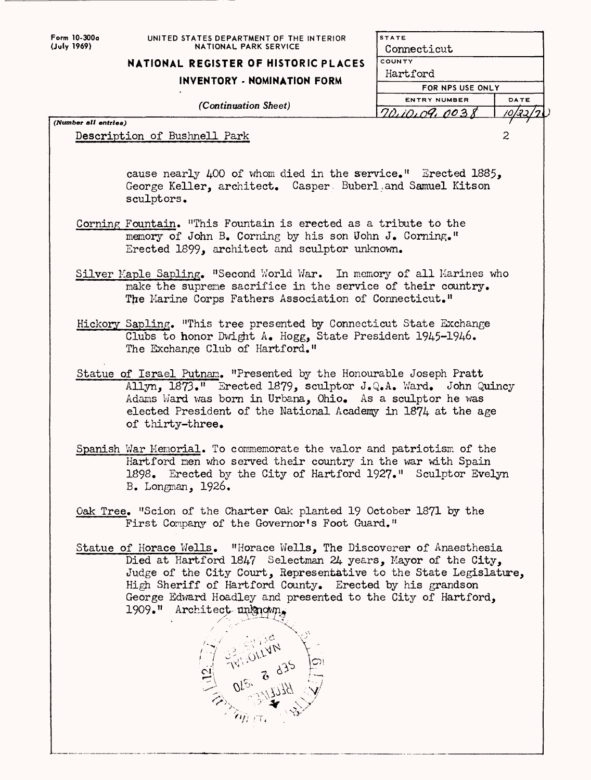| Form 10-300a |
|--------------|
| (July 1969)  |

*(Number all entries)*

## **UNITED STATES DEPARTMENT OF THE INTERIOR NATIONAL PARK SERVICE**

## **NATIONAL REGISTER OF HISTORIC PLACES**

## **INVENTORY - NOMINATION FORM**

*(Continuation Sheet)*

|   | 5 I A I E        |      |  |
|---|------------------|------|--|
|   | Connecticut      |      |  |
| S | COUNTY           |      |  |
|   | Hartford         |      |  |
|   | FOR NPS USE ONLY |      |  |
|   | ENTRY NUMBER     | DATE |  |
|   | 70,10,09,0038    | גבי  |  |
|   |                  |      |  |
|   |                  | 2    |  |
|   |                  |      |  |
|   |                  |      |  |
|   |                  |      |  |

**STATE**

Description of Bushnell Park

cause nearly  $\mu$ 00 of whom died in the service." Erected 1885, George Keller, architect. Casper Buberl, and Samuel Kitson sculptors.

- Corning Fountain. "This Fountain is erected as a tribute to the memory of John B. Corning by his son Uohn J. Corning." Erected 1899, architect and sculptor unknown.
- Silver Kaple Sapling. "Second World War. In memory of all Marines who make the supreme sacrifice in the service of their country. The Marine Corps Fathers Association of Connecticut."
- Hickory Sapling. "This tree presented by Connecticut State Exchange Clubs to honor Dwight A. Hogg, State President 1945-1946. The Exchange Club of Hartford."
- Statue of Israel Putnam. "Presented by the Honourable Joseph Pratt Allyn, 1873." Erected 1879, sculptor J.Q.A. Ward. John Quincy Adams Ward was born in Urbana, Ohio, As a sculptor he was elected President of the National Academy in 1874 at the age of thirty-three,
- Spanish War Memorial. To commemorate the valor and patriotism of the Hartford men who served their country in the war with Spain 1898. Erected by the City of Hartford 1927." Sculptor Evelyn B. Longman, 1926.
- Oak Tree. "Scion of the Charter Oak planted 19 October 1871 by the First Company of the Governor's Foot Guard."
- Statue of Horace Wells, "Horace Wells, The Discoverer of Anaesthesia Died at Hartford 1847 Selectman 24 years, Mayor of the City, Judge of the City Court, Representative to the State Legislature, High Sheriff of Hartford County. Erected by his grandson George Edward Hoadley and presented to the City of Hartford, 1909." Architect-unknown.

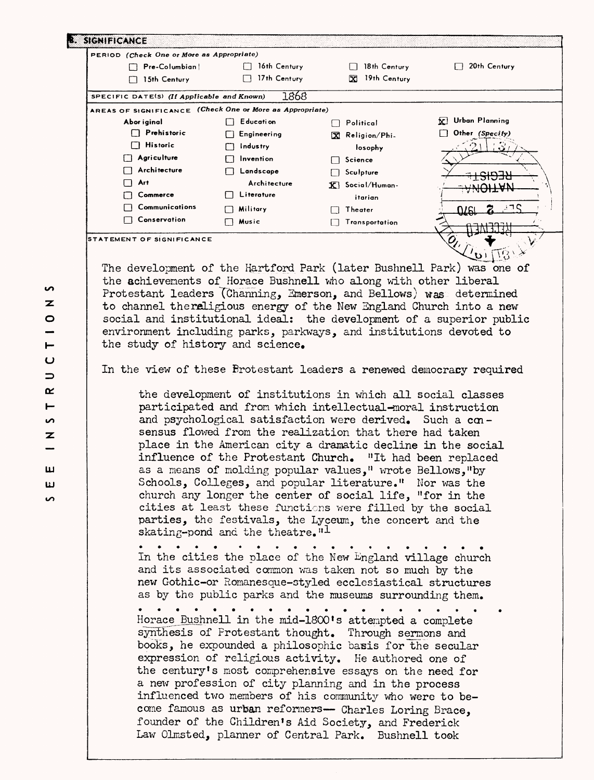| $\Box$ Pre-Columbian<br>$\Box$ 15th Century              |                                             |                                                                                                                                                                                                                                                                                                                                                                                                                                                                                                                                                                                                                          |                                           |
|----------------------------------------------------------|---------------------------------------------|--------------------------------------------------------------------------------------------------------------------------------------------------------------------------------------------------------------------------------------------------------------------------------------------------------------------------------------------------------------------------------------------------------------------------------------------------------------------------------------------------------------------------------------------------------------------------------------------------------------------------|-------------------------------------------|
|                                                          | $\Box$ 16th Century                         | $\Box$ 18th Century                                                                                                                                                                                                                                                                                                                                                                                                                                                                                                                                                                                                      | $\Box$ 20th Century                       |
|                                                          | $\Box$ 17th Century                         | X 19th Century                                                                                                                                                                                                                                                                                                                                                                                                                                                                                                                                                                                                           |                                           |
| SPECIFIC DATE(S) (If Applicable and Known)               | 1868                                        |                                                                                                                                                                                                                                                                                                                                                                                                                                                                                                                                                                                                                          |                                           |
| AREAS OF SIGNIFICANCE (Check One or More as Appropriate) |                                             |                                                                                                                                                                                                                                                                                                                                                                                                                                                                                                                                                                                                                          |                                           |
| Abor iginal                                              | $\Box$ Education                            | $\Box$ Political                                                                                                                                                                                                                                                                                                                                                                                                                                                                                                                                                                                                         | $\mathbf{K}$ Urban Planning               |
| $\Box$ Prehistoric                                       | $\Box$ Engineering                          | X Religion/Phi-                                                                                                                                                                                                                                                                                                                                                                                                                                                                                                                                                                                                          | Other (Specify)                           |
| $\Box$ Historic                                          | $\Box$ industry                             | losophy                                                                                                                                                                                                                                                                                                                                                                                                                                                                                                                                                                                                                  |                                           |
| $\Box$ Agriculture                                       | $\Box$ Invention                            | $\Box$ Science                                                                                                                                                                                                                                                                                                                                                                                                                                                                                                                                                                                                           |                                           |
| $\Box$ Architecture                                      | $\Box$ Landscape                            | $\Box$ Sculpture                                                                                                                                                                                                                                                                                                                                                                                                                                                                                                                                                                                                         |                                           |
| $\Box$ Art                                               | Architecture                                | $\mathbf{X}$ Social/Human-                                                                                                                                                                                                                                                                                                                                                                                                                                                                                                                                                                                               |                                           |
| □ Commerce                                               | $\Box$ Literature                           | itarian                                                                                                                                                                                                                                                                                                                                                                                                                                                                                                                                                                                                                  |                                           |
| $\Box$ Communications                                    | $\Box$ Military                             | $\Box$ Theater                                                                                                                                                                                                                                                                                                                                                                                                                                                                                                                                                                                                           | 3 T C<br>ומוח                             |
| $\Box$ Conservation                                      | $\Box$ Music                                | Transportation                                                                                                                                                                                                                                                                                                                                                                                                                                                                                                                                                                                                           |                                           |
| STATEMENT OF SIGNIFICANCE                                |                                             |                                                                                                                                                                                                                                                                                                                                                                                                                                                                                                                                                                                                                          | $\mathcal{L}_{\mathcal{U}_{\mathcal{L}}}$ |
|                                                          |                                             |                                                                                                                                                                                                                                                                                                                                                                                                                                                                                                                                                                                                                          | $\mathbf{v}$                              |
|                                                          |                                             |                                                                                                                                                                                                                                                                                                                                                                                                                                                                                                                                                                                                                          |                                           |
|                                                          |                                             | The development of the Hartford Park (later Bushnell Park) was one of                                                                                                                                                                                                                                                                                                                                                                                                                                                                                                                                                    |                                           |
|                                                          |                                             | the achievements of Horace Bushnell who along with other liberal                                                                                                                                                                                                                                                                                                                                                                                                                                                                                                                                                         |                                           |
|                                                          |                                             | Protestant leaders (Channing, Emerson, and Bellows) was determined                                                                                                                                                                                                                                                                                                                                                                                                                                                                                                                                                       |                                           |
|                                                          |                                             | to channel thereligious energy of the New England Church into a new                                                                                                                                                                                                                                                                                                                                                                                                                                                                                                                                                      |                                           |
|                                                          |                                             | social and institutional ideal: the development of a superior public                                                                                                                                                                                                                                                                                                                                                                                                                                                                                                                                                     |                                           |
|                                                          |                                             | environment including parks, parkways, and institutions devoted to                                                                                                                                                                                                                                                                                                                                                                                                                                                                                                                                                       |                                           |
| the study of history and science.                        |                                             |                                                                                                                                                                                                                                                                                                                                                                                                                                                                                                                                                                                                                          |                                           |
|                                                          |                                             | the development of institutions in which all social classes<br>participated and from which intellectual-moral instruction                                                                                                                                                                                                                                                                                                                                                                                                                                                                                                |                                           |
|                                                          | skating-pond and the theatre." <sup>1</sup> | and psychological satisfaction were derived. Such a con-<br>sensus flowed from the realization that there had taken<br>place in the American city a dramatic decline in the social<br>influence of the Protestant Church. "It had been replaced<br>as a means of molding popular values," wrote Bellows, "by<br>Schools, Colleges, and popular literature." Nor was the<br>church any longer the center of social life, "for in the<br>cities at least these functions were filled by the social<br>parties, the festivals, the Lyceum, the concert and the<br>In the cities the place of the New England village church |                                           |
|                                                          |                                             | and its associated common was taken not so much by the<br>new Gothic-or Romanesque-styled ecclesiastical structures<br>as by the public parks and the museums surrounding them.<br>Horace Bushnell in the mid-1800's attempted a complete<br>synthesis of Protestant thought. Through sermons and<br>books, he expounded a philosophic basis for the secular                                                                                                                                                                                                                                                             |                                           |

 $\bullet$  $\overline{\mathbf{z}}$  $\circ$  $\frac{1}{1}$  $\overline{U}$  $\Rightarrow$  $\alpha$  $\vdash$  $\overline{v}$  $\overline{\mathbf{z}}$  $\qquad \qquad$ **LLI LJ CO**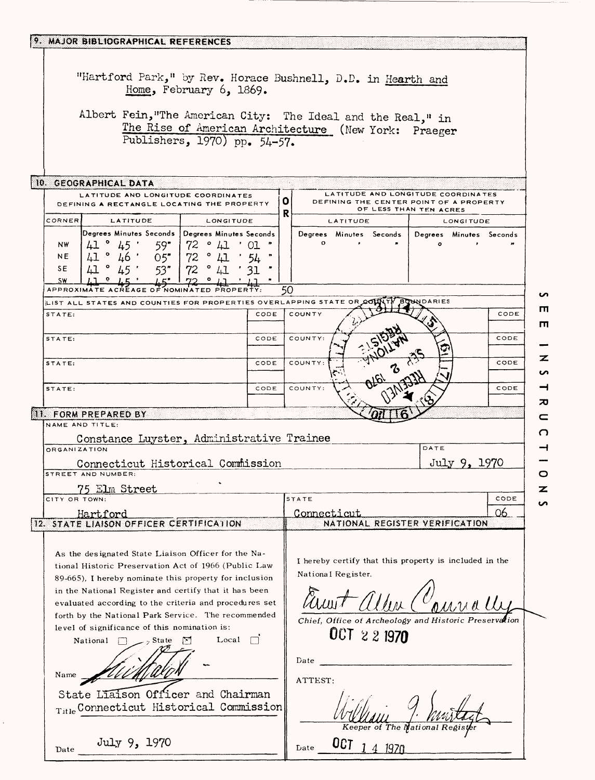| 9. MAJOR BIBLIOGRAPHICAL REFERENCES                                                                                                                                                                                                                                                                                                                                                                                                                                                                                                                                        |      |                                                                                                                                                                                      |
|----------------------------------------------------------------------------------------------------------------------------------------------------------------------------------------------------------------------------------------------------------------------------------------------------------------------------------------------------------------------------------------------------------------------------------------------------------------------------------------------------------------------------------------------------------------------------|------|--------------------------------------------------------------------------------------------------------------------------------------------------------------------------------------|
| Home, February $6, 1869.$<br>Publishers, 1970) pp. 54-57.                                                                                                                                                                                                                                                                                                                                                                                                                                                                                                                  |      | "Hartford Park," by Rev. Horace Bushnell, D.D. in Hearth and<br>Albert Fein, "The American City: The Ideal and the Real," in<br>The Rise of American Architecture (New York: Praeger |
| 10. GEOGRAPHICAL DATA                                                                                                                                                                                                                                                                                                                                                                                                                                                                                                                                                      |      |                                                                                                                                                                                      |
| LATITUDE AND LONGITUDE COORDINATES<br>DEFINING A RECTANGLE LOCATING THE PROPERTY                                                                                                                                                                                                                                                                                                                                                                                                                                                                                           |      | LATITUDE AND LONGITUDE COORDINATES<br>0<br>DEFINING THE CENTER POINT OF A PROPERTY<br>OF LESS THAN TEN ACRES                                                                         |
| <b>CORNER</b><br>LATITUDE<br>LONGITUDE                                                                                                                                                                                                                                                                                                                                                                                                                                                                                                                                     |      | R<br>LATITUDE<br><b>LONGITUDE</b>                                                                                                                                                    |
| Degrees Minutes Seconds   Degrees Minutes Seconds                                                                                                                                                                                                                                                                                                                                                                                                                                                                                                                          |      | Degrees Minutes Seconds<br>Degrees Minutes Seconds                                                                                                                                   |
| 41° 45'<br>59"   72 ° 41 ' 01<br>NW.<br>$41$ ° $46$ · 05 72 ° $41$ · 54<br>$41$ ° $45$ · 53 72 ° $41$ · 31<br>41° 46'<br>NE.                                                                                                                                                                                                                                                                                                                                                                                                                                               |      | $\mathbf{o}$<br>$\circ$                                                                                                                                                              |
| SE                                                                                                                                                                                                                                                                                                                                                                                                                                                                                                                                                                         |      |                                                                                                                                                                                      |
| <b>SW</b><br><b>APPROXIMAT</b>                                                                                                                                                                                                                                                                                                                                                                                                                                                                                                                                             |      | 50                                                                                                                                                                                   |
| LIST ALL STATES AND COUNTIES FOR PROPERTIES OVERLAPPING STATE OR                                                                                                                                                                                                                                                                                                                                                                                                                                                                                                           |      | <b>INDARIES</b>                                                                                                                                                                      |
| STATE:                                                                                                                                                                                                                                                                                                                                                                                                                                                                                                                                                                     | CODE | COUNTY<br>CODE                                                                                                                                                                       |
| STATE:                                                                                                                                                                                                                                                                                                                                                                                                                                                                                                                                                                     | CODE | COUNTY:<br>CODE                                                                                                                                                                      |
| STATE:                                                                                                                                                                                                                                                                                                                                                                                                                                                                                                                                                                     | CODE | COUNTY:<br>CODE<br>ъ                                                                                                                                                                 |
| STATE:                                                                                                                                                                                                                                                                                                                                                                                                                                                                                                                                                                     | CODE | COUNTY:<br>CODE                                                                                                                                                                      |
| 11. FORM PREPARED BY                                                                                                                                                                                                                                                                                                                                                                                                                                                                                                                                                       |      |                                                                                                                                                                                      |
| NAME AND TITLE:                                                                                                                                                                                                                                                                                                                                                                                                                                                                                                                                                            |      |                                                                                                                                                                                      |
| Constance Luyster, Administrative Trainee<br><b>ORGANIZATION</b>                                                                                                                                                                                                                                                                                                                                                                                                                                                                                                           |      | DATE                                                                                                                                                                                 |
| Connecticut Historical Commission                                                                                                                                                                                                                                                                                                                                                                                                                                                                                                                                          |      | July 9, 1970                                                                                                                                                                         |
| STREET AND NUMBER:                                                                                                                                                                                                                                                                                                                                                                                                                                                                                                                                                         |      |                                                                                                                                                                                      |
| 75 Elm Street<br>CITY OR TOWN                                                                                                                                                                                                                                                                                                                                                                                                                                                                                                                                              |      | STATE<br>CODE                                                                                                                                                                        |
| Hartford                                                                                                                                                                                                                                                                                                                                                                                                                                                                                                                                                                   |      | 06<br>Connecticut                                                                                                                                                                    |
| 12. STATE LIAISON OFFICER CERTIFICATION                                                                                                                                                                                                                                                                                                                                                                                                                                                                                                                                    |      | NATIONAL REGISTER VERIFICATION                                                                                                                                                       |
| As the designated State Liaison Officer for the Na-<br>tional Historic Preservation Act of 1966 (Public Law<br>89-665), I hereby nominate this property for inclusion<br>in the National Register and certify that it has been<br>evaluated according to the criteria and procedures set<br>forth by the National Park Service. The recommended<br>level of significance of this nomination is:<br>Local<br>ाज<br>National<br>– State <sub>ج</sub> ے<br>$\frac{1}{2}$<br>Name<br>State Liaison Officer and Chairman<br>$_{\text{Title}}$ Connecticut Historical Commission |      | I hereby certify that this property is included in the<br>National Register.<br>Chief, Office of Archeology and Historic Preset<br>OCT 2 2 1970<br>Date<br>ATTEST:                   |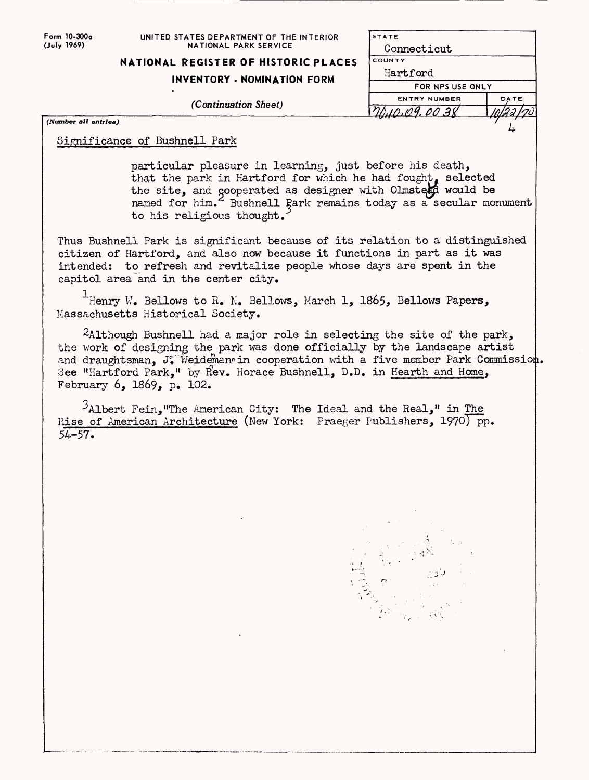| Form 10-300a<br>(July 1969) | UNITED STATES DEPARTMENT OF THE INTERIOR<br>NATIONAL PARK SERVICE                                                                                                                                                                                                                                                                                   | <b>STATE</b><br>Connecticut |      |
|-----------------------------|-----------------------------------------------------------------------------------------------------------------------------------------------------------------------------------------------------------------------------------------------------------------------------------------------------------------------------------------------------|-----------------------------|------|
|                             | NATIONAL REGISTER OF HISTORIC PLACES                                                                                                                                                                                                                                                                                                                | COUNTY                      |      |
|                             |                                                                                                                                                                                                                                                                                                                                                     | Hartford                    |      |
|                             | INVENTORY - NOMINATION FORM                                                                                                                                                                                                                                                                                                                         | FOR NPS USE ONLY            |      |
|                             | (Continuation Sheet)                                                                                                                                                                                                                                                                                                                                | <b>ENTRY NUMBER</b>         | DATE |
|                             |                                                                                                                                                                                                                                                                                                                                                     | 70.10.109.00.38             |      |
| (Number all entries)        |                                                                                                                                                                                                                                                                                                                                                     |                             |      |
|                             | Significance of Bushnell Park                                                                                                                                                                                                                                                                                                                       |                             |      |
|                             | particular pleasure in learning, just before his death,<br>that the park in Hartford for which he had fought, selected<br>the site, and gooperated as designer with Olmsterd would be<br>named for him. Bushnell Park remains today as a secular monument<br>to his religious thought.                                                              |                             |      |
|                             | Thus Bushnell Park is significant because of its relation to a distinguished<br>citizen of Hartford, and also now because it functions in part as it was<br>intended: to refresh and revitalize people whose days are spent in the<br>capitol area and in the center city.                                                                          |                             |      |
|                             | Henry W. Bellows to R. N. Bellows, March 1, 1865, Bellows Papers,<br>Massachusetts Historical Society.                                                                                                                                                                                                                                              |                             |      |
|                             | $2$ Although Bushnell had a major role in selecting the site of the park,<br>the work of designing the park was done officially by the landscape artist<br>and draughtsman, J. Weidemannin cooperation with a five member Park Commission.<br>See "Hartford Park," by Rev. Horace Bushnell, D.D. in Hearth and Home,<br>February $6, 1869, p. 102.$ |                             |      |
| $54 - 57.$                  | $\lambda$ Albert Fein, "The American City: The Ideal and the Real," in The<br>Rise of American Architecture (New York: Praeger Publishers, 1970) pp.                                                                                                                                                                                                |                             |      |
|                             |                                                                                                                                                                                                                                                                                                                                                     |                             |      |
|                             |                                                                                                                                                                                                                                                                                                                                                     |                             |      |
|                             |                                                                                                                                                                                                                                                                                                                                                     |                             |      |
|                             |                                                                                                                                                                                                                                                                                                                                                     |                             |      |
|                             |                                                                                                                                                                                                                                                                                                                                                     |                             |      |
|                             |                                                                                                                                                                                                                                                                                                                                                     |                             |      |

 $\mathcal{L}(\mathcal{A})$  . The  $\mathcal{L}(\mathcal{A})$